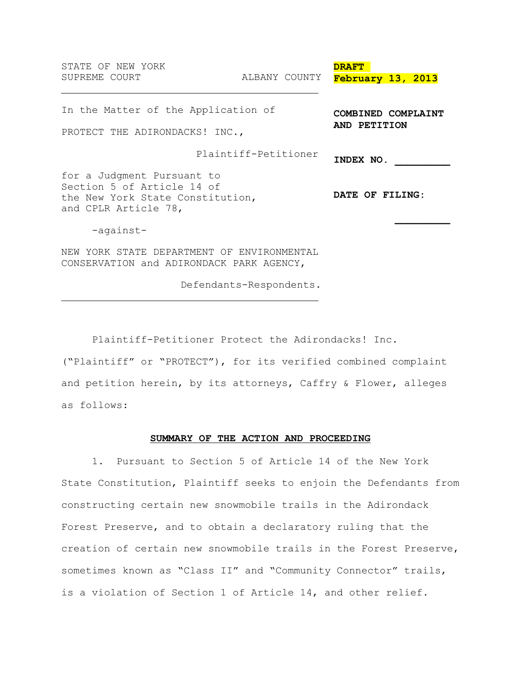| STATE OF NEW YORK<br>SUPREME COURT                                                                                   | ALBANY COUNTY        | <b>DRAFT</b><br>February 13, 2013  |  |
|----------------------------------------------------------------------------------------------------------------------|----------------------|------------------------------------|--|
| In the Matter of the Application of<br>PROTECT THE ADIRONDACKS! INC.,                                                |                      | COMBINED COMPLAINT<br>AND PETITION |  |
|                                                                                                                      | Plaintiff-Petitioner | INDEX NO.                          |  |
| for a Judgment Pursuant to<br>Section 5 of Article 14 of<br>the New York State Constitution,<br>and CPLR Article 78, |                      | DATE OF FILING:                    |  |
| -against-                                                                                                            |                      |                                    |  |
| NEW YORK STATE DEPARTMENT OF ENVIRONMENTAL<br>CONSERVATION and ADIRONDACK PARK AGENCY,                               |                      |                                    |  |

Defendants-Respondents.

Plaintiff-Petitioner Protect the Adirondacks! Inc.

("Plaintiff" or "PROTECT"), for its verified combined complaint and petition herein, by its attorneys, Caffry & Flower, alleges as follows:

#### **SUMMARY OF THE ACTION AND PROCEEDING**

1. Pursuant to Section 5 of Article 14 of the New York State Constitution, Plaintiff seeks to enjoin the Defendants from constructing certain new snowmobile trails in the Adirondack Forest Preserve, and to obtain a declaratory ruling that the creation of certain new snowmobile trails in the Forest Preserve, sometimes known as "Class II" and "Community Connector" trails, is a violation of Section 1 of Article 14, and other relief.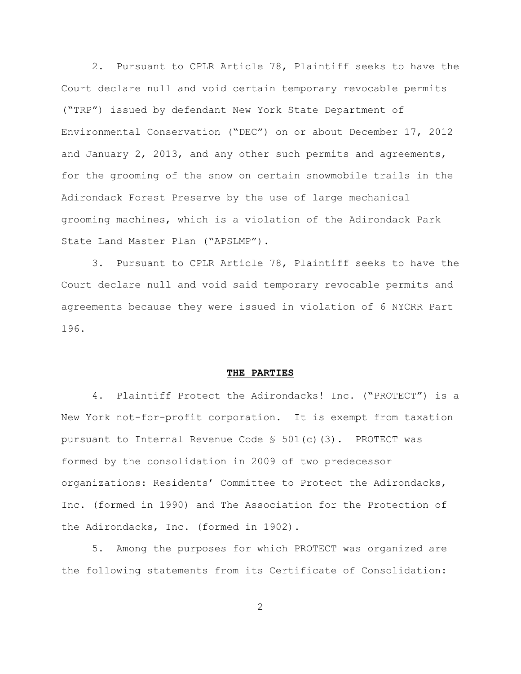2. Pursuant to CPLR Article 78, Plaintiff seeks to have the Court declare null and void certain temporary revocable permits ("TRP") issued by defendant New York State Department of Environmental Conservation ("DEC") on or about December 17, 2012 and January 2, 2013, and any other such permits and agreements, for the grooming of the snow on certain snowmobile trails in the Adirondack Forest Preserve by the use of large mechanical grooming machines, which is a violation of the Adirondack Park State Land Master Plan ("APSLMP").

3. Pursuant to CPLR Article 78, Plaintiff seeks to have the Court declare null and void said temporary revocable permits and agreements because they were issued in violation of 6 NYCRR Part 196.

#### **THE PARTIES**

4. Plaintiff Protect the Adirondacks! Inc. ("PROTECT") is a New York not-for-profit corporation. It is exempt from taxation pursuant to Internal Revenue Code  $\frac{1}{5}$  501(c)(3). PROTECT was formed by the consolidation in 2009 of two predecessor organizations: Residents' Committee to Protect the Adirondacks, Inc. (formed in 1990) and The Association for the Protection of the Adirondacks, Inc. (formed in 1902).

5. Among the purposes for which PROTECT was organized are the following statements from its Certificate of Consolidation: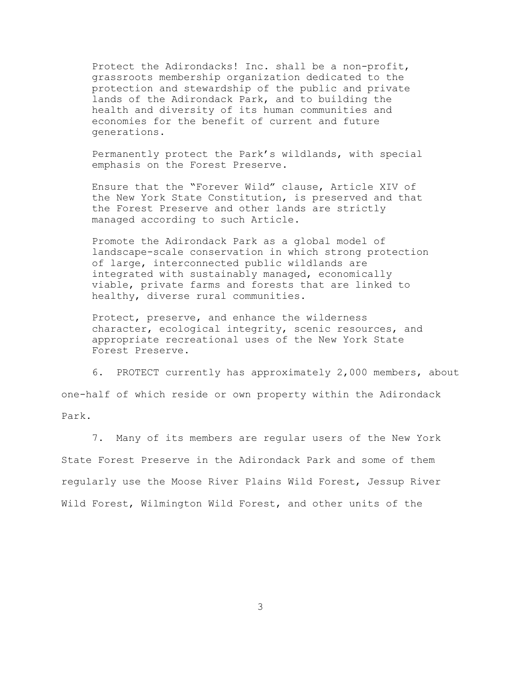Protect the Adirondacks! Inc. shall be a non-profit, grassroots membership organization dedicated to the protection and stewardship of the public and private lands of the Adirondack Park, and to building the health and diversity of its human communities and economies for the benefit of current and future generations.

Permanently protect the Park's wildlands, with special emphasis on the Forest Preserve.

Ensure that the "Forever Wild" clause, Article XIV of the New York State Constitution, is preserved and that the Forest Preserve and other lands are strictly managed according to such Article.

Promote the Adirondack Park as a global model of landscape-scale conservation in which strong protection of large, interconnected public wildlands are integrated with sustainably managed, economically viable, private farms and forests that are linked to healthy, diverse rural communities.

Protect, preserve, and enhance the wilderness character, ecological integrity, scenic resources, and appropriate recreational uses of the New York State Forest Preserve.

6. PROTECT currently has approximately 2,000 members, about one-half of which reside or own property within the Adirondack Park.

7. Many of its members are regular users of the New York State Forest Preserve in the Adirondack Park and some of them regularly use the Moose River Plains Wild Forest, Jessup River Wild Forest, Wilmington Wild Forest, and other units of the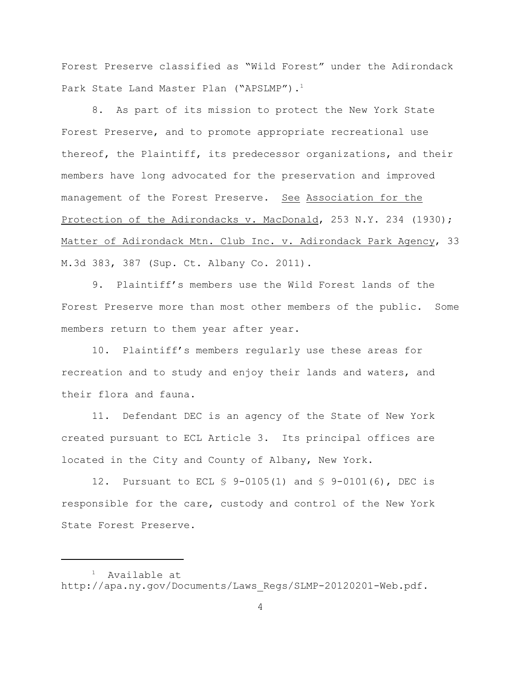Forest Preserve classified as "Wild Forest" under the Adirondack Park State Land Master Plan ("APSLMP").<sup>1</sup>

8. As part of its mission to protect the New York State Forest Preserve, and to promote appropriate recreational use thereof, the Plaintiff, its predecessor organizations, and their members have long advocated for the preservation and improved management of the Forest Preserve. See Association for the Protection of the Adirondacks v. MacDonald, 253 N.Y. 234 (1930); Matter of Adirondack Mtn. Club Inc. v. Adirondack Park Agency, 33 M.3d 383, 387 (Sup. Ct. Albany Co. 2011).

9. Plaintiff's members use the Wild Forest lands of the Forest Preserve more than most other members of the public. Some members return to them year after year.

10. Plaintiff's members regularly use these areas for recreation and to study and enjoy their lands and waters, and their flora and fauna.

11. Defendant DEC is an agency of the State of New York created pursuant to ECL Article 3. Its principal offices are located in the City and County of Albany, New York.

12. Pursuant to ECL § 9-0105(1) and § 9-0101(6), DEC is responsible for the care, custody and control of the New York State Forest Preserve.

 $1$  Available at http://apa.ny.gov/Documents/Laws\_Regs/SLMP-20120201-Web.pdf.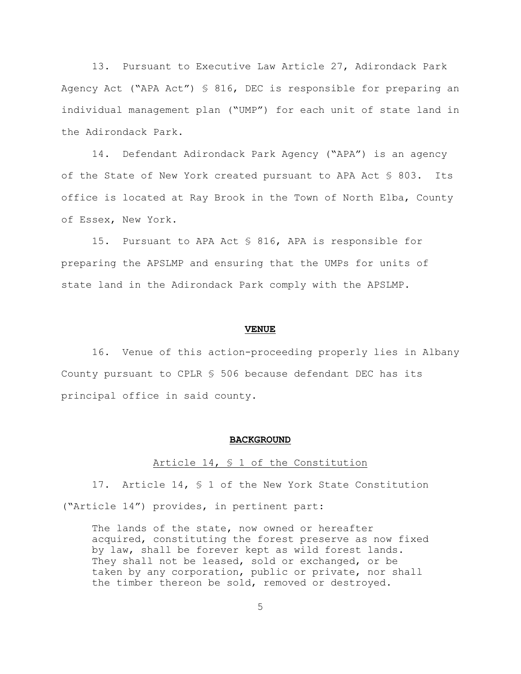13. Pursuant to Executive Law Article 27, Adirondack Park Agency Act ("APA Act") § 816, DEC is responsible for preparing an individual management plan ("UMP") for each unit of state land in the Adirondack Park.

14. Defendant Adirondack Park Agency ("APA") is an agency of the State of New York created pursuant to APA Act § 803. Its office is located at Ray Brook in the Town of North Elba, County of Essex, New York.

15. Pursuant to APA Act § 816, APA is responsible for preparing the APSLMP and ensuring that the UMPs for units of state land in the Adirondack Park comply with the APSLMP.

#### **VENUE**

16. Venue of this action-proceeding properly lies in Albany County pursuant to CPLR § 506 because defendant DEC has its principal office in said county.

#### **BACKGROUND**

#### Article 14, § 1 of the Constitution

17. Article 14, § 1 of the New York State Constitution ("Article 14") provides, in pertinent part:

The lands of the state, now owned or hereafter acquired, constituting the forest preserve as now fixed by law, shall be forever kept as wild forest lands. They shall not be leased, sold or exchanged, or be taken by any corporation, public or private, nor shall the timber thereon be sold, removed or destroyed.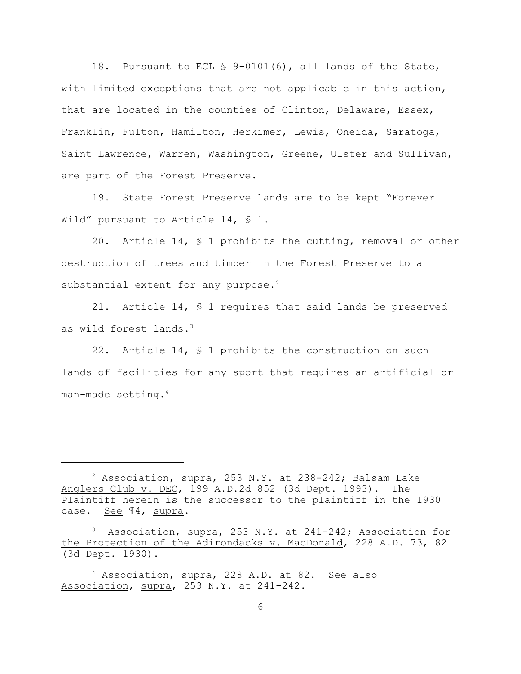18. Pursuant to ECL § 9-0101(6), all lands of the State, with limited exceptions that are not applicable in this action, that are located in the counties of Clinton, Delaware, Essex, Franklin, Fulton, Hamilton, Herkimer, Lewis, Oneida, Saratoga, Saint Lawrence, Warren, Washington, Greene, Ulster and Sullivan, are part of the Forest Preserve.

19. State Forest Preserve lands are to be kept "Forever Wild" pursuant to Article 14, § 1.

20. Article 14, § 1 prohibits the cutting, removal or other destruction of trees and timber in the Forest Preserve to a substantial extent for any purpose.<sup>2</sup>

21. Article 14, § 1 requires that said lands be preserved as wild forest lands.<sup>3</sup>

22. Article 14, § 1 prohibits the construction on such lands of facilities for any sport that requires an artificial or man-made setting.<sup>4</sup>

 $^2$  Association, supra, 253 N.Y. at 238-242; Balsam Lake Anglers Club v. DEC, 199 A.D.2d 852 (3d Dept. 1993). The Plaintiff herein is the successor to the plaintiff in the 1930 case. See ¶4, supra.

<sup>&</sup>lt;sup>3</sup> Association, supra, 253 N.Y. at 241-242; Association for the Protection of the Adirondacks v. MacDonald, 228 A.D. 73, 82 (3d Dept. 1930).

<sup>&</sup>lt;sup>4</sup> Association, supra, 228 A.D. at 82. See also Association, supra, 253 N.Y. at 241-242.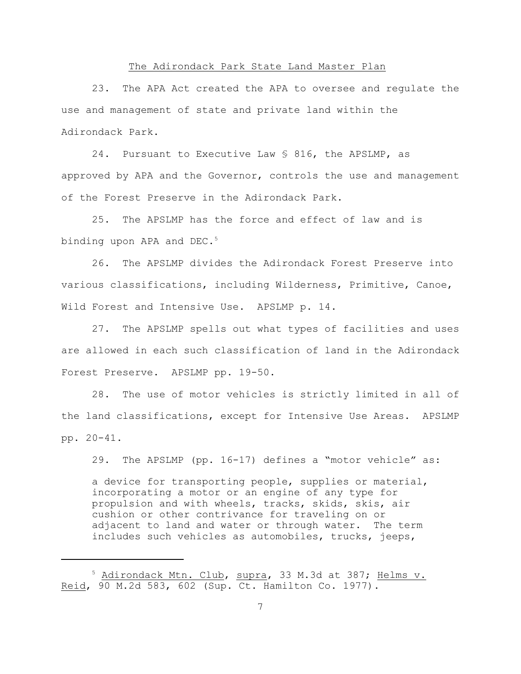### The Adirondack Park State Land Master Plan

23. The APA Act created the APA to oversee and regulate the use and management of state and private land within the Adirondack Park.

24. Pursuant to Executive Law § 816, the APSLMP, as approved by APA and the Governor, controls the use and management of the Forest Preserve in the Adirondack Park.

25. The APSLMP has the force and effect of law and is binding upon APA and DEC.<sup>5</sup>

26. The APSLMP divides the Adirondack Forest Preserve into various classifications, including Wilderness, Primitive, Canoe, Wild Forest and Intensive Use. APSLMP p. 14.

27. The APSLMP spells out what types of facilities and uses are allowed in each such classification of land in the Adirondack Forest Preserve. APSLMP pp. 19-50.

28. The use of motor vehicles is strictly limited in all of the land classifications, except for Intensive Use Areas. APSLMP pp. 20-41.

29. The APSLMP (pp. 16-17) defines a "motor vehicle" as: a device for transporting people, supplies or material, incorporating a motor or an engine of any type for propulsion and with wheels, tracks, skids, skis, air cushion or other contrivance for traveling on or adjacent to land and water or through water. The term includes such vehicles as automobiles, trucks, jeeps,

<sup>5</sup> Adirondack Mtn. Club, supra, 33 M.3d at 387; Helms v. Reid, 90 M.2d 583, 602 (Sup. Ct. Hamilton Co. 1977).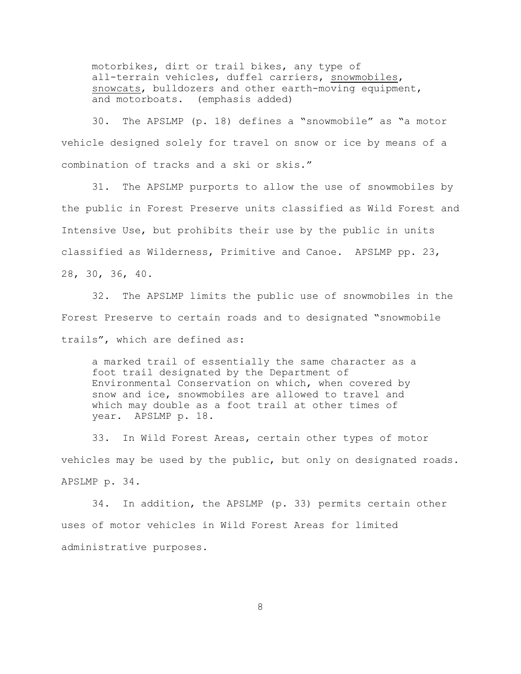motorbikes, dirt or trail bikes, any type of all-terrain vehicles, duffel carriers, snowmobiles, snowcats, bulldozers and other earth-moving equipment, and motorboats. (emphasis added)

30. The APSLMP (p. 18) defines a "snowmobile" as "a motor vehicle designed solely for travel on snow or ice by means of a combination of tracks and a ski or skis."

31. The APSLMP purports to allow the use of snowmobiles by the public in Forest Preserve units classified as Wild Forest and Intensive Use, but prohibits their use by the public in units classified as Wilderness, Primitive and Canoe. APSLMP pp. 23, 28, 30, 36, 40.

32. The APSLMP limits the public use of snowmobiles in the Forest Preserve to certain roads and to designated "snowmobile trails", which are defined as:

a marked trail of essentially the same character as a foot trail designated by the Department of Environmental Conservation on which, when covered by snow and ice, snowmobiles are allowed to travel and which may double as a foot trail at other times of year. APSLMP p. 18.

33. In Wild Forest Areas, certain other types of motor vehicles may be used by the public, but only on designated roads. APSLMP p. 34.

34. In addition, the APSLMP (p. 33) permits certain other uses of motor vehicles in Wild Forest Areas for limited administrative purposes.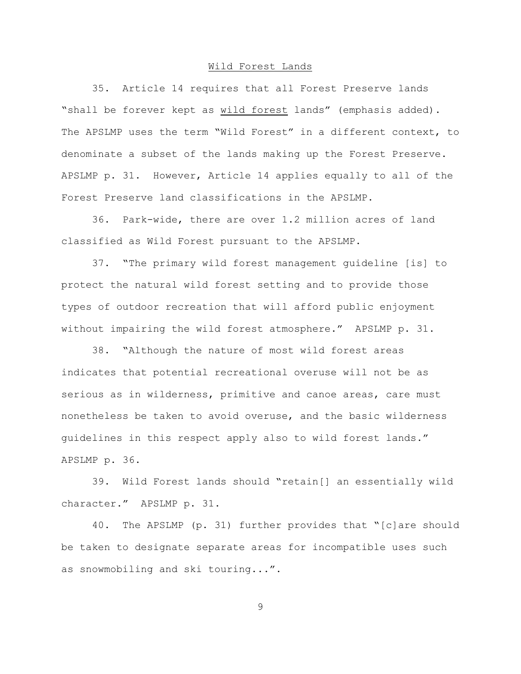#### Wild Forest Lands

35. Article 14 requires that all Forest Preserve lands "shall be forever kept as wild forest lands" (emphasis added). The APSLMP uses the term "Wild Forest" in a different context, to denominate a subset of the lands making up the Forest Preserve. APSLMP p. 31. However, Article 14 applies equally to all of the Forest Preserve land classifications in the APSLMP.

36. Park-wide, there are over 1.2 million acres of land classified as Wild Forest pursuant to the APSLMP.

37. "The primary wild forest management guideline [is] to protect the natural wild forest setting and to provide those types of outdoor recreation that will afford public enjoyment without impairing the wild forest atmosphere." APSLMP p. 31.

38. "Although the nature of most wild forest areas indicates that potential recreational overuse will not be as serious as in wilderness, primitive and canoe areas, care must nonetheless be taken to avoid overuse, and the basic wilderness guidelines in this respect apply also to wild forest lands." APSLMP p. 36.

39. Wild Forest lands should "retain[] an essentially wild character." APSLMP p. 31.

40. The APSLMP (p. 31) further provides that "[c]are should be taken to designate separate areas for incompatible uses such as snowmobiling and ski touring...".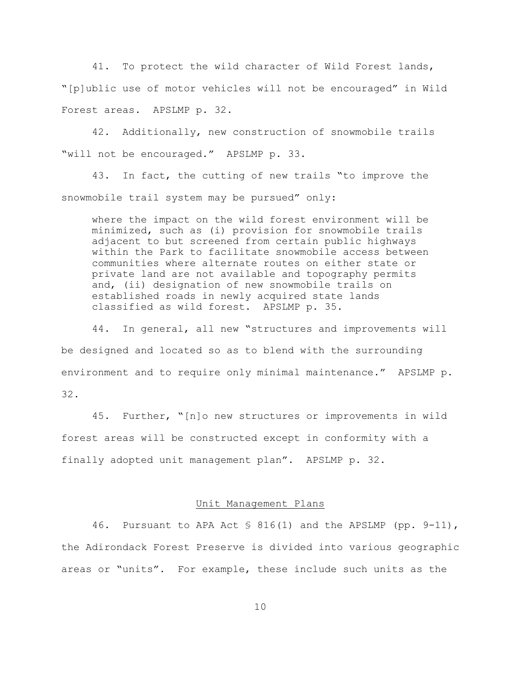41. To protect the wild character of Wild Forest lands, "[p]ublic use of motor vehicles will not be encouraged" in Wild Forest areas. APSLMP p. 32.

42. Additionally, new construction of snowmobile trails "will not be encouraged." APSLMP p. 33.

43. In fact, the cutting of new trails "to improve the snowmobile trail system may be pursued" only:

where the impact on the wild forest environment will be minimized, such as (i) provision for snowmobile trails adjacent to but screened from certain public highways within the Park to facilitate snowmobile access between communities where alternate routes on either state or private land are not available and topography permits and, (ii) designation of new snowmobile trails on established roads in newly acquired state lands classified as wild forest. APSLMP p. 35.

44. In general, all new "structures and improvements will be designed and located so as to blend with the surrounding environment and to require only minimal maintenance." APSLMP p. 32.

45. Further, "[n]o new structures or improvements in wild forest areas will be constructed except in conformity with a finally adopted unit management plan". APSLMP p. 32.

## Unit Management Plans

46. Pursuant to APA Act  $\frac{1}{5}$  816(1) and the APSLMP (pp. 9-11), the Adirondack Forest Preserve is divided into various geographic areas or "units". For example, these include such units as the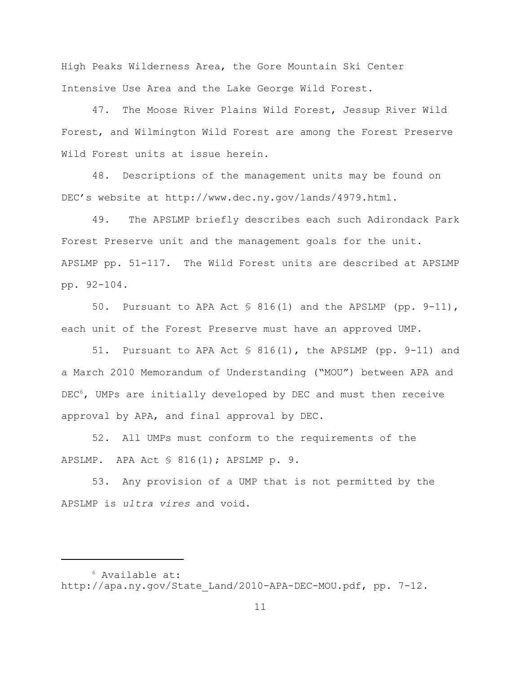High Peaks Wilderness Area, the Gore Mountain Ski Center Intensive Use Area and the Lake George Wild Forest.

47. The Moose River Plains Wild Forest, Jessup River Wild Forest, and Wilmington Wild Forest are among the Forest Preserve Wild Forest units at issue herein.

48. Descriptions of the management units may be found on DEC's website at http://www.dec.ny.gov/lands/4979.html.

49. The APSLMP briefly describes each such Adirondack Park Forest Preserve unit and the management goals for the unit. APSLMP pp. 51-117. The Wild Forest units are described at APSLMP pp. 92-104.

50. Pursuant to APA Act  $\frac{1}{5}$  816(1) and the APSLMP (pp. 9-11), each unit of the Forest Preserve must have an approved UMP.

51. Pursuant to APA Act § 816(1), the APSLMP (pp. 9-11) and a March 2010 Memorandum of Understanding ("MOU") between APA and  $DEC<sup>6</sup>$ , UMPs are initially developed by DEC and must then receive approval by APA, and final approval by DEC.

52. All UMPs must conform to the requirements of the APSLMP. APA Act § 816(1); APSLMP p. 9.

53. Any provision of a UMP that is not permitted by the APSLMP is *ultra vires* and void.

 $6$  Available at: http://apa.ny.gov/State\_Land/2010-APA-DEC-MOU.pdf, pp. 7-12.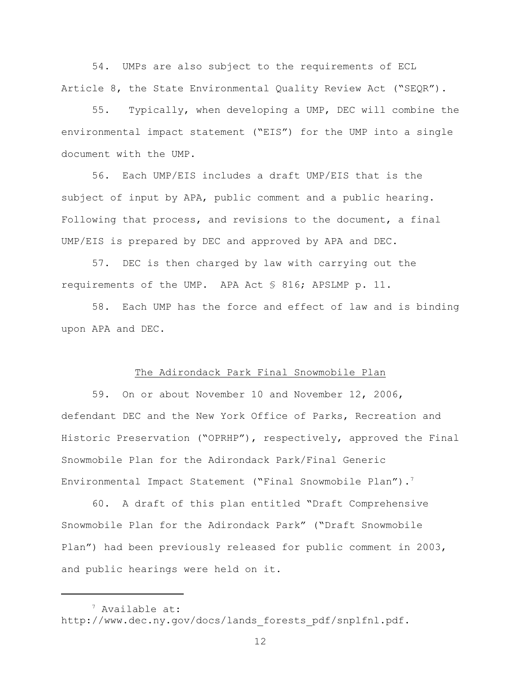54. UMPs are also subject to the requirements of ECL Article 8, the State Environmental Quality Review Act ("SEQR").

55. Typically, when developing a UMP, DEC will combine the environmental impact statement ("EIS") for the UMP into a single document with the UMP.

56. Each UMP/EIS includes a draft UMP/EIS that is the subject of input by APA, public comment and a public hearing. Following that process, and revisions to the document, a final UMP/EIS is prepared by DEC and approved by APA and DEC.

57. DEC is then charged by law with carrying out the requirements of the UMP. APA Act § 816; APSLMP p. 11.

58. Each UMP has the force and effect of law and is binding upon APA and DEC.

### The Adirondack Park Final Snowmobile Plan

59. On or about November 10 and November 12, 2006, defendant DEC and the New York Office of Parks, Recreation and Historic Preservation ("OPRHP"), respectively, approved the Final Snowmobile Plan for the Adirondack Park/Final Generic Environmental Impact Statement ("Final Snowmobile Plan").<sup>7</sup>

60. A draft of this plan entitled "Draft Comprehensive Snowmobile Plan for the Adirondack Park" ("Draft Snowmobile Plan") had been previously released for public comment in 2003, and public hearings were held on it.

 $<sup>7</sup>$  Available at:</sup> http://www.dec.ny.gov/docs/lands forests pdf/snplfnl.pdf.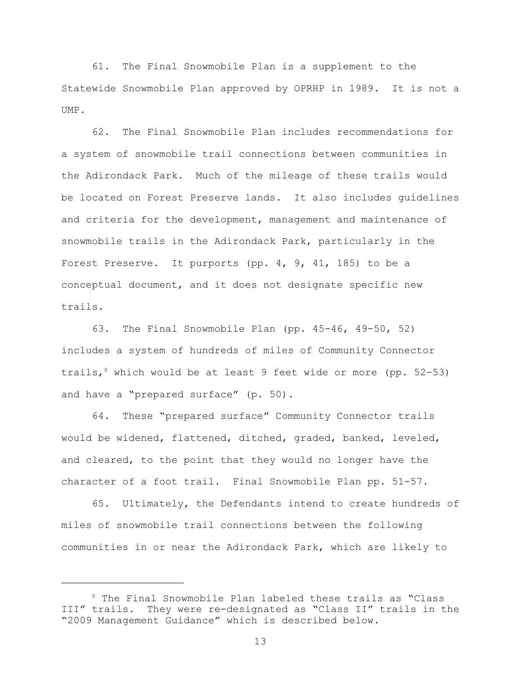61. The Final Snowmobile Plan is a supplement to the Statewide Snowmobile Plan approved by OPRHP in 1989. It is not a UMP.

62. The Final Snowmobile Plan includes recommendations for a system of snowmobile trail connections between communities in the Adirondack Park. Much of the mileage of these trails would be located on Forest Preserve lands. It also includes guidelines and criteria for the development, management and maintenance of snowmobile trails in the Adirondack Park, particularly in the Forest Preserve. It purports (pp. 4, 9, 41, 185) to be a conceptual document, and it does not designate specific new trails.

63. The Final Snowmobile Plan (pp. 45-46, 49-50, 52) includes a system of hundreds of miles of Community Connector trails, which would be at least 9 feet wide or more (pp.  $52-53$ ) and have a "prepared surface" (p. 50).

64. These "prepared surface" Community Connector trails would be widened, flattened, ditched, graded, banked, leveled, and cleared, to the point that they would no longer have the character of a foot trail. Final Snowmobile Plan pp. 51-57.

65. Ultimately, the Defendants intend to create hundreds of miles of snowmobile trail connections between the following communities in or near the Adirondack Park, which are likely to

 $8$  The Final Snowmobile Plan labeled these trails as "Class III" trails. They were re-designated as "Class II" trails in the "2009 Management Guidance" which is described below.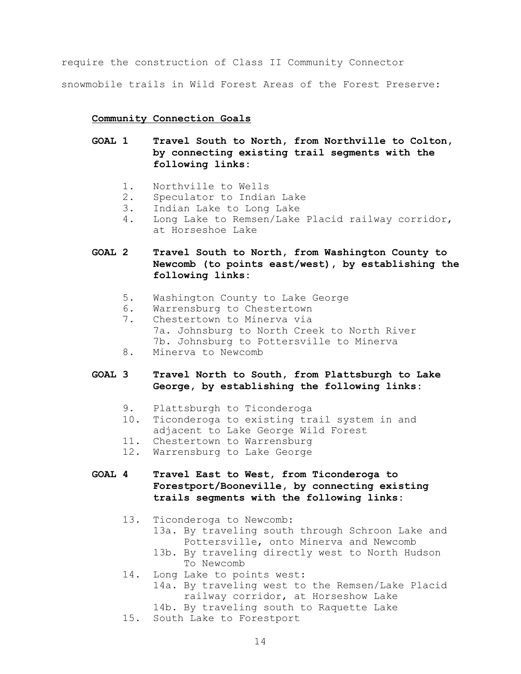require the construction of Class II Community Connector

snowmobile trails in Wild Forest Areas of the Forest Preserve:

## **Community Connection Goals**

- **GOAL 1 Travel South to North, from Northville to Colton, by connecting existing trail segments with the following links:**
	- 1. Northville to Wells
	- 2. Speculator to Indian Lake
	- 3. Indian Lake to Long Lake
	- 4. Long Lake to Remsen/Lake Placid railway corridor, at Horseshoe Lake
- **GOAL 2 Travel South to North, from Washington County to Newcomb (to points east/west), by establishing the following links:**
	- 5. Washington County to Lake George
	- 6. Warrensburg to Chestertown
	- 7. Chestertown to Minerva via 7a. Johnsburg to North Creek to North River 7b. Johnsburg to Pottersville to Minerva
	- 8. Minerva to Newcomb

# **GOAL 3 Travel North to South, from Plattsburgh to Lake George, by establishing the following links:**

- 9. Plattsburgh to Ticonderoga
- 10. Ticonderoga to existing trail system in and adjacent to Lake George Wild Forest
- 11. Chestertown to Warrensburg
- 12. Warrensburg to Lake George

# **GOAL 4 Travel East to West, from Ticonderoga to Forestport/Booneville, by connecting existing trails segments with the following links:**

- 13. Ticonderoga to Newcomb:
	- 13a. By traveling south through Schroon Lake and Pottersville, onto Minerva and Newcomb
	- 13b. By traveling directly west to North Hudson To Newcomb
- 14. Long Lake to points west:
	- 14a. By traveling west to the Remsen/Lake Placid railway corridor, at Horseshow Lake
	- 14b. By traveling south to Raquette Lake
- 15. South Lake to Forestport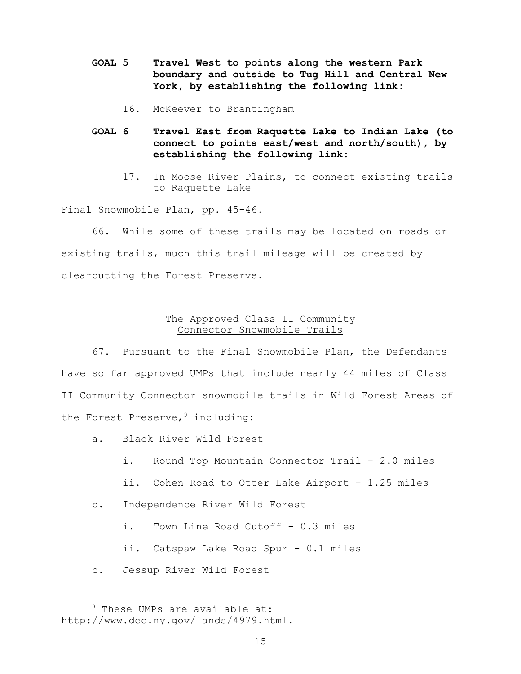- **GOAL 5 Travel West to points along the western Park boundary and outside to Tug Hill and Central New York, by establishing the following link:**
	- 16. McKeever to Brantingham
- **GOAL 6 Travel East from Raquette Lake to Indian Lake (to connect to points east/west and north/south), by establishing the following link:**
	- 17. In Moose River Plains, to connect existing trails to Raquette Lake

Final Snowmobile Plan, pp. 45-46.

66. While some of these trails may be located on roads or existing trails, much this trail mileage will be created by clearcutting the Forest Preserve.

## The Approved Class II Community Connector Snowmobile Trails

67. Pursuant to the Final Snowmobile Plan, the Defendants have so far approved UMPs that include nearly 44 miles of Class II Community Connector snowmobile trails in Wild Forest Areas of the Forest Preserve,<sup>9</sup> including:

- a. Black River Wild Forest
	- i. Round Top Mountain Connector Trail 2.0 miles
	- ii. Cohen Road to Otter Lake Airport 1.25 miles
- b. Independence River Wild Forest
	- i. Town Line Road Cutoff 0.3 miles
	- ii. Catspaw Lake Road Spur 0.1 miles
- c. Jessup River Wild Forest

 $9$  These UMPs are available at: http://www.dec.ny.gov/lands/4979.html.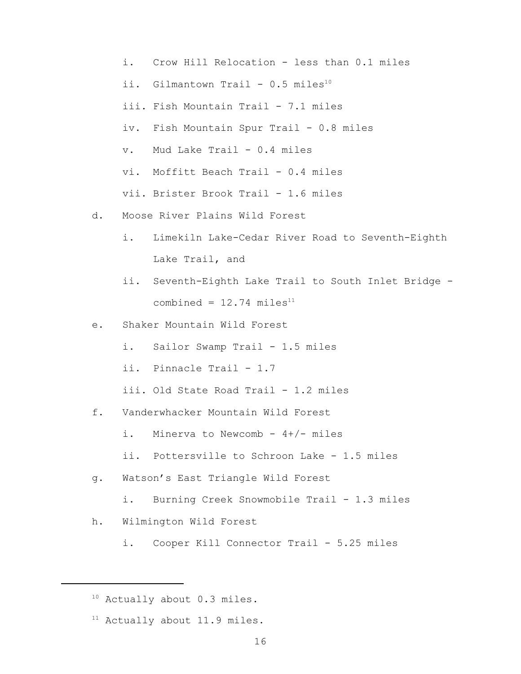- i. Crow Hill Relocation less than 0.1 miles
- ii. Gilmantown Trail  $0.5$  miles<sup>10</sup>
- iii. Fish Mountain Trail 7.1 miles
- iv. Fish Mountain Spur Trail 0.8 miles
- v. Mud Lake Trail 0.4 miles
- vi. Moffitt Beach Trail 0.4 miles

vii. Brister Brook Trail - 1.6 miles

- d. Moose River Plains Wild Forest
	- i. Limekiln Lake-Cedar River Road to Seventh-Eighth Lake Trail, and
	- ii. Seventh-Eighth Lake Trail to South Inlet Bridge combined =  $12.74$  miles<sup>11</sup>
- e. Shaker Mountain Wild Forest
	- i. Sailor Swamp Trail 1.5 miles
	- ii. Pinnacle Trail 1.7
	- iii. Old State Road Trail 1.2 miles
- f. Vanderwhacker Mountain Wild Forest
	- i. Minerva to Newcomb  $4+/-$  miles
	- ii. Pottersville to Schroon Lake 1.5 miles
- g. Watson's East Triangle Wild Forest
	- i. Burning Creek Snowmobile Trail 1.3 miles
- h. Wilmington Wild Forest
	- i. Cooper Kill Connector Trail 5.25 miles

 $11$  Actually about 11.9 miles.

 $10$  Actually about 0.3 miles.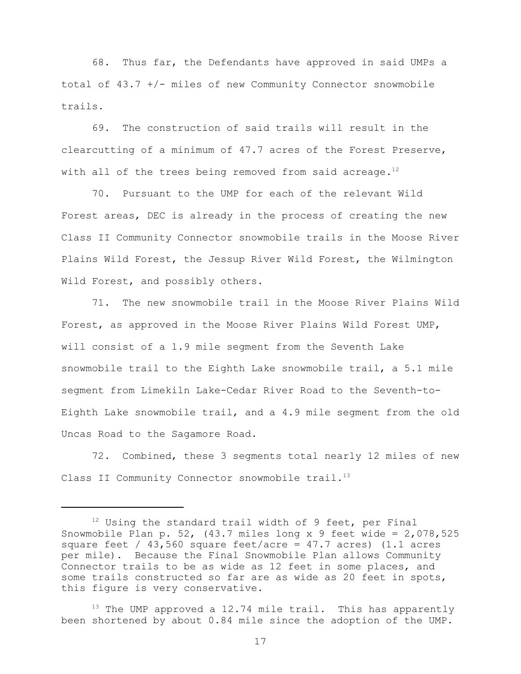68. Thus far, the Defendants have approved in said UMPs a total of 43.7 +/- miles of new Community Connector snowmobile trails.

69. The construction of said trails will result in the clearcutting of a minimum of 47.7 acres of the Forest Preserve, with all of the trees being removed from said acreage.<sup>12</sup>

70. Pursuant to the UMP for each of the relevant Wild Forest areas, DEC is already in the process of creating the new Class II Community Connector snowmobile trails in the Moose River Plains Wild Forest, the Jessup River Wild Forest, the Wilmington Wild Forest, and possibly others.

71. The new snowmobile trail in the Moose River Plains Wild Forest, as approved in the Moose River Plains Wild Forest UMP, will consist of a 1.9 mile segment from the Seventh Lake snowmobile trail to the Eighth Lake snowmobile trail, a 5.1 mile segment from Limekiln Lake-Cedar River Road to the Seventh-to-Eighth Lake snowmobile trail, and a 4.9 mile segment from the old Uncas Road to the Sagamore Road.

72. Combined, these 3 segments total nearly 12 miles of new Class II Community Connector snowmobile trail.<sup>13</sup>

 $12$  Using the standard trail width of 9 feet, per Final Snowmobile Plan p. 52,  $(43.7 \text{ miles long x 9 feet wide} = 2,078,525$ square feet /  $43,560$  square feet/acre =  $47.7$  acres) (1.1 acres per mile). Because the Final Snowmobile Plan allows Community Connector trails to be as wide as 12 feet in some places, and some trails constructed so far are as wide as 20 feet in spots, this figure is very conservative.

<sup>&</sup>lt;sup>13</sup> The UMP approved a 12.74 mile trail. This has apparently been shortened by about 0.84 mile since the adoption of the UMP.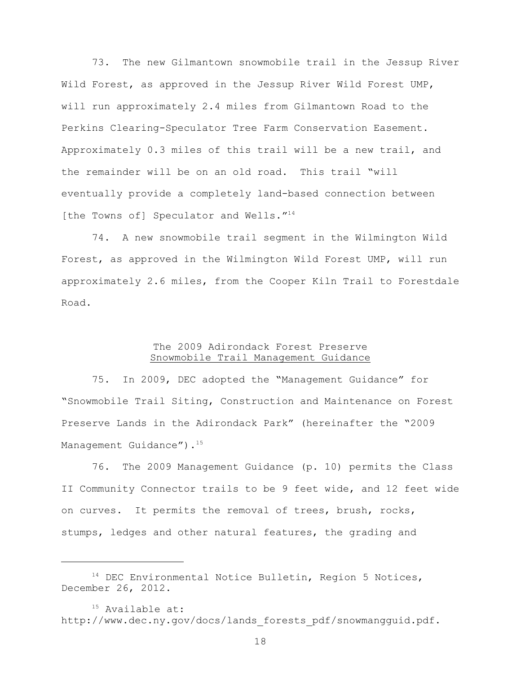73. The new Gilmantown snowmobile trail in the Jessup River Wild Forest, as approved in the Jessup River Wild Forest UMP, will run approximately 2.4 miles from Gilmantown Road to the Perkins Clearing-Speculator Tree Farm Conservation Easement. Approximately 0.3 miles of this trail will be a new trail, and the remainder will be on an old road. This trail "will eventually provide a completely land-based connection between [the Towns of] Speculator and Wells."<sup>14</sup>

74. A new snowmobile trail segment in the Wilmington Wild Forest, as approved in the Wilmington Wild Forest UMP, will run approximately 2.6 miles, from the Cooper Kiln Trail to Forestdale Road.

## The 2009 Adirondack Forest Preserve Snowmobile Trail Management Guidance

75. In 2009, DEC adopted the "Management Guidance" for "Snowmobile Trail Siting, Construction and Maintenance on Forest Preserve Lands in the Adirondack Park" (hereinafter the "2009 Management Guidance"). 15

76. The 2009 Management Guidance (p. 10) permits the Class II Community Connector trails to be 9 feet wide, and 12 feet wide on curves. It permits the removal of trees, brush, rocks, stumps, ledges and other natural features, the grading and

 $14$  DEC Environmental Notice Bulletin, Region 5 Notices, December 26, 2012.

 $15$  Available at: http://www.dec.ny.gov/docs/lands forests pdf/snowmangguid.pdf.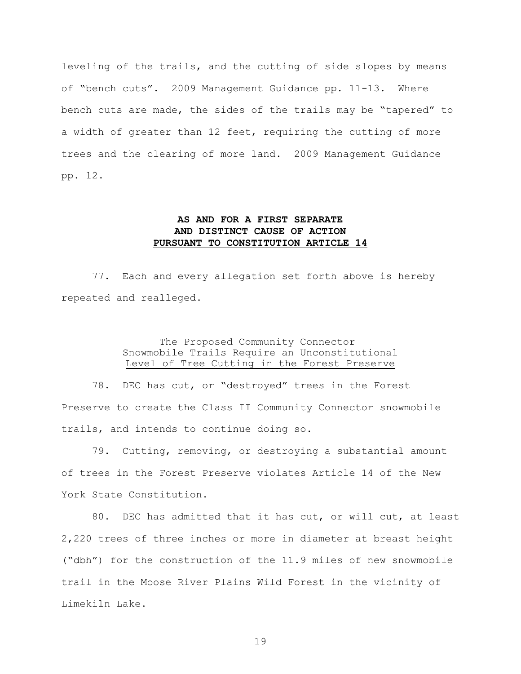leveling of the trails, and the cutting of side slopes by means of "bench cuts". 2009 Management Guidance pp. 11-13. Where bench cuts are made, the sides of the trails may be "tapered" to a width of greater than 12 feet, requiring the cutting of more trees and the clearing of more land. 2009 Management Guidance pp. 12.

# **AS AND FOR A FIRST SEPARATE AND DISTINCT CAUSE OF ACTION PURSUANT TO CONSTITUTION ARTICLE 14**

77. Each and every allegation set forth above is hereby repeated and realleged.

## The Proposed Community Connector Snowmobile Trails Require an Unconstitutional Level of Tree Cutting in the Forest Preserve

78. DEC has cut, or "destroyed" trees in the Forest Preserve to create the Class II Community Connector snowmobile trails, and intends to continue doing so.

79. Cutting, removing, or destroying a substantial amount of trees in the Forest Preserve violates Article 14 of the New York State Constitution.

80. DEC has admitted that it has cut, or will cut, at least 2,220 trees of three inches or more in diameter at breast height ("dbh") for the construction of the 11.9 miles of new snowmobile trail in the Moose River Plains Wild Forest in the vicinity of Limekiln Lake.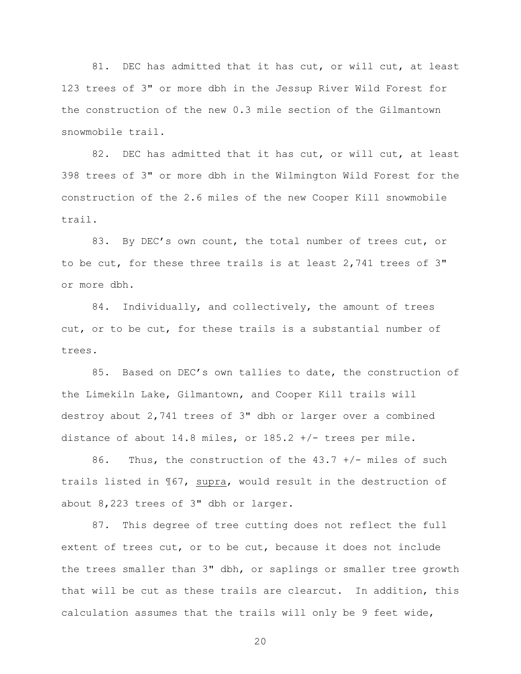81. DEC has admitted that it has cut, or will cut, at least 123 trees of 3" or more dbh in the Jessup River Wild Forest for the construction of the new 0.3 mile section of the Gilmantown snowmobile trail.

82. DEC has admitted that it has cut, or will cut, at least 398 trees of 3" or more dbh in the Wilmington Wild Forest for the construction of the 2.6 miles of the new Cooper Kill snowmobile trail.

83. By DEC's own count, the total number of trees cut, or to be cut, for these three trails is at least 2,741 trees of 3" or more dbh.

84. Individually, and collectively, the amount of trees cut, or to be cut, for these trails is a substantial number of trees.

85. Based on DEC's own tallies to date, the construction of the Limekiln Lake, Gilmantown, and Cooper Kill trails will destroy about 2,741 trees of 3" dbh or larger over a combined distance of about 14.8 miles, or  $185.2$  +/- trees per mile.

86. Thus, the construction of the  $43.7$  +/- miles of such trails listed in  $\frac{1}{67}$ , supra, would result in the destruction of about 8,223 trees of 3" dbh or larger.

87. This degree of tree cutting does not reflect the full extent of trees cut, or to be cut, because it does not include the trees smaller than 3" dbh, or saplings or smaller tree growth that will be cut as these trails are clearcut. In addition, this calculation assumes that the trails will only be 9 feet wide,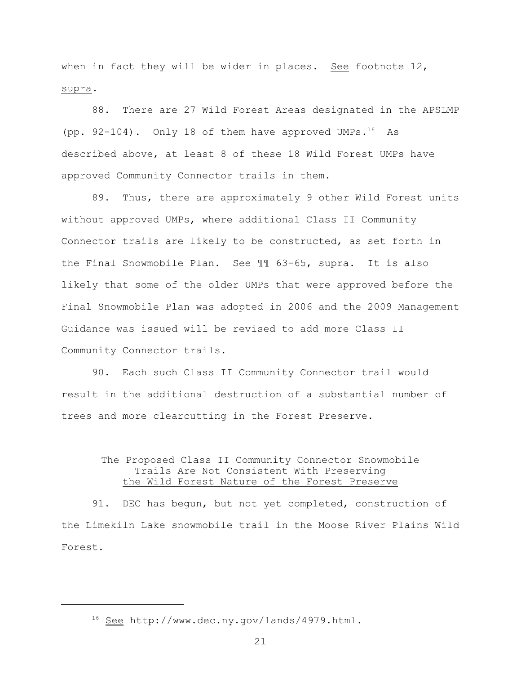when in fact they will be wider in places. See footnote  $12$ , supra.

88. There are 27 Wild Forest Areas designated in the APSLMP (pp. 92-104). Only 18 of them have approved UMPs. $^{16}$  As described above, at least 8 of these 18 Wild Forest UMPs have approved Community Connector trails in them.

89. Thus, there are approximately 9 other Wild Forest units without approved UMPs, where additional Class II Community Connector trails are likely to be constructed, as set forth in the Final Snowmobile Plan. See ¶¶ 63-65, supra. It is also likely that some of the older UMPs that were approved before the Final Snowmobile Plan was adopted in 2006 and the 2009 Management Guidance was issued will be revised to add more Class II Community Connector trails.

90. Each such Class II Community Connector trail would result in the additional destruction of a substantial number of trees and more clearcutting in the Forest Preserve.

## The Proposed Class II Community Connector Snowmobile Trails Are Not Consistent With Preserving the Wild Forest Nature of the Forest Preserve

91. DEC has begun, but not yet completed, construction of the Limekiln Lake snowmobile trail in the Moose River Plains Wild Forest.

 $16$  See http://www.dec.ny.gov/lands/4979.html.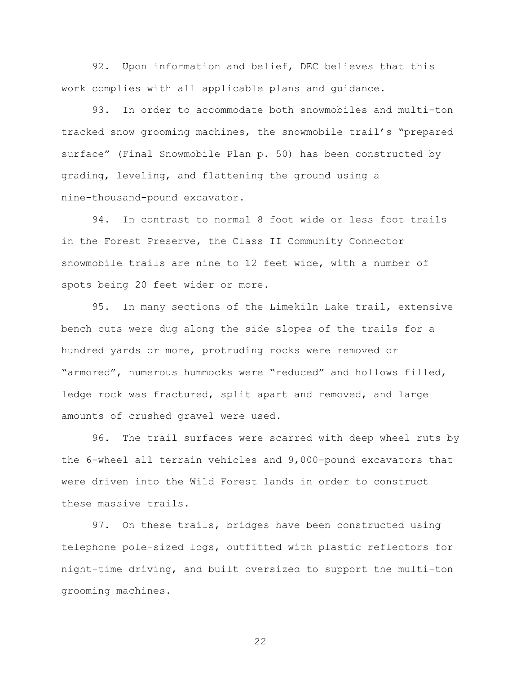92. Upon information and belief, DEC believes that this work complies with all applicable plans and guidance.

93. In order to accommodate both snowmobiles and multi-ton tracked snow grooming machines, the snowmobile trail's "prepared surface" (Final Snowmobile Plan p. 50) has been constructed by grading, leveling, and flattening the ground using a nine-thousand-pound excavator.

94. In contrast to normal 8 foot wide or less foot trails in the Forest Preserve, the Class II Community Connector snowmobile trails are nine to 12 feet wide, with a number of spots being 20 feet wider or more.

95. In many sections of the Limekiln Lake trail, extensive bench cuts were dug along the side slopes of the trails for a hundred yards or more, protruding rocks were removed or "armored", numerous hummocks were "reduced" and hollows filled, ledge rock was fractured, split apart and removed, and large amounts of crushed gravel were used.

96. The trail surfaces were scarred with deep wheel ruts by the 6-wheel all terrain vehicles and 9,000-pound excavators that were driven into the Wild Forest lands in order to construct these massive trails.

97. On these trails, bridges have been constructed using telephone pole-sized logs, outfitted with plastic reflectors for night-time driving, and built oversized to support the multi-ton grooming machines.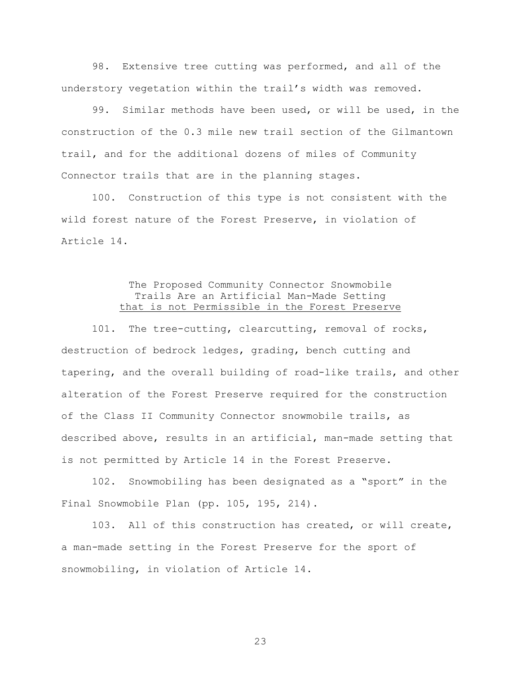98. Extensive tree cutting was performed, and all of the understory vegetation within the trail's width was removed.

99. Similar methods have been used, or will be used, in the construction of the 0.3 mile new trail section of the Gilmantown trail, and for the additional dozens of miles of Community Connector trails that are in the planning stages.

100. Construction of this type is not consistent with the wild forest nature of the Forest Preserve, in violation of Article 14.

## The Proposed Community Connector Snowmobile Trails Are an Artificial Man-Made Setting that is not Permissible in the Forest Preserve

101. The tree-cutting, clearcutting, removal of rocks, destruction of bedrock ledges, grading, bench cutting and tapering, and the overall building of road-like trails, and other alteration of the Forest Preserve required for the construction of the Class II Community Connector snowmobile trails, as described above, results in an artificial, man-made setting that is not permitted by Article 14 in the Forest Preserve.

102. Snowmobiling has been designated as a "sport" in the Final Snowmobile Plan (pp. 105, 195, 214).

103. All of this construction has created, or will create, a man-made setting in the Forest Preserve for the sport of snowmobiling, in violation of Article 14.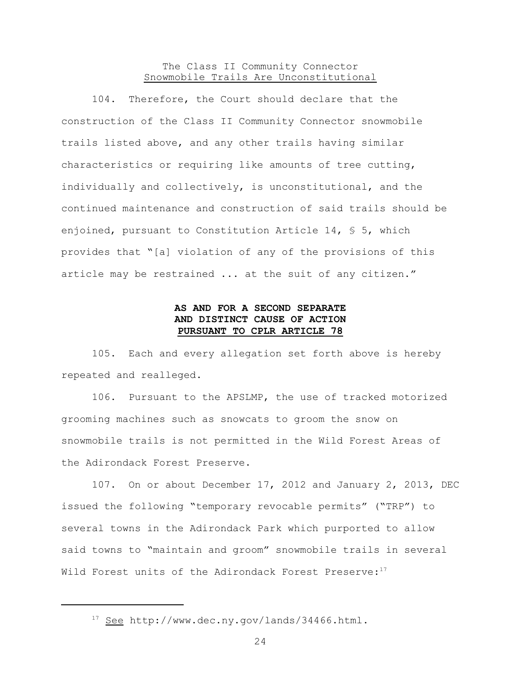## The Class II Community Connector Snowmobile Trails Are Unconstitutional

104. Therefore, the Court should declare that the construction of the Class II Community Connector snowmobile trails listed above, and any other trails having similar characteristics or requiring like amounts of tree cutting, individually and collectively, is unconstitutional, and the continued maintenance and construction of said trails should be enjoined, pursuant to Constitution Article 14,  $\frac{1}{5}$  5, which provides that "[a] violation of any of the provisions of this article may be restrained ... at the suit of any citizen."

## **AS AND FOR A SECOND SEPARATE AND DISTINCT CAUSE OF ACTION PURSUANT TO CPLR ARTICLE 78**

105. Each and every allegation set forth above is hereby repeated and realleged.

106. Pursuant to the APSLMP, the use of tracked motorized grooming machines such as snowcats to groom the snow on snowmobile trails is not permitted in the Wild Forest Areas of the Adirondack Forest Preserve.

107. On or about December 17, 2012 and January 2, 2013, DEC issued the following "temporary revocable permits" ("TRP") to several towns in the Adirondack Park which purported to allow said towns to "maintain and groom" snowmobile trails in several Wild Forest units of the Adirondack Forest Preserve:<sup>17</sup>

 $17$  See http://www.dec.ny.gov/lands/34466.html.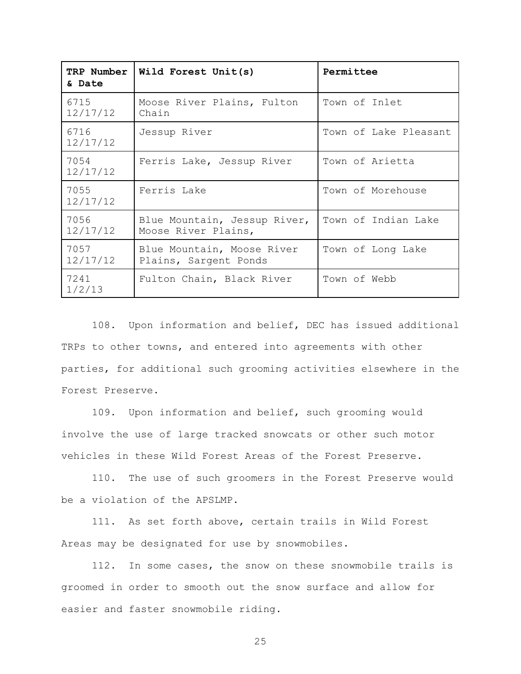| TRP Number<br>& Date | Wild Forest Unit(s)                                 | Permittee             |
|----------------------|-----------------------------------------------------|-----------------------|
| 6715<br>12/17/12     | Moose River Plains, Fulton<br>Chain                 | Town of Inlet         |
| 6716<br>12/17/12     | Jessup River                                        | Town of Lake Pleasant |
| 7054<br>12/17/12     | Ferris Lake, Jessup River                           | Town of Arietta       |
| 7055<br>12/17/12     | Ferris Lake                                         | Town of Morehouse     |
| 7056<br>12/17/12     | Blue Mountain, Jessup River,<br>Moose River Plains, | Town of Indian Lake   |
| 7057<br>12/17/12     | Blue Mountain, Moose River<br>Plains, Sargent Ponds | Town of Long Lake     |
| 7241<br>1/2/13       | Fulton Chain, Black River                           | Town of Webb          |

108. Upon information and belief, DEC has issued additional TRPs to other towns, and entered into agreements with other parties, for additional such grooming activities elsewhere in the Forest Preserve.

109. Upon information and belief, such grooming would involve the use of large tracked snowcats or other such motor vehicles in these Wild Forest Areas of the Forest Preserve.

110. The use of such groomers in the Forest Preserve would be a violation of the APSLMP.

111. As set forth above, certain trails in Wild Forest Areas may be designated for use by snowmobiles.

112. In some cases, the snow on these snowmobile trails is groomed in order to smooth out the snow surface and allow for easier and faster snowmobile riding.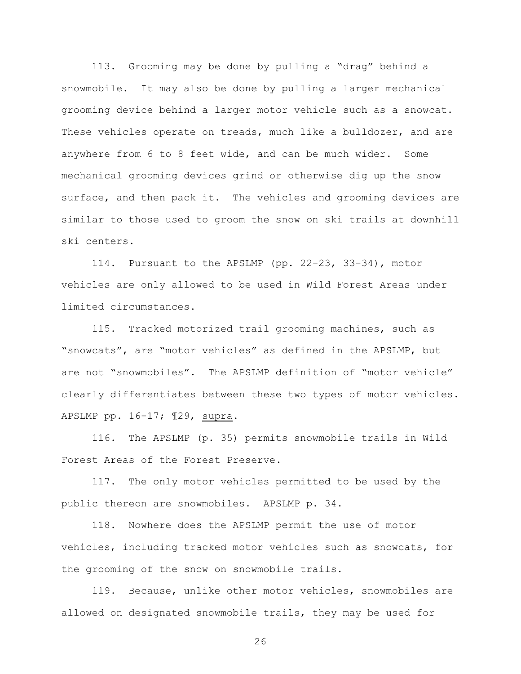113. Grooming may be done by pulling a "drag" behind a snowmobile. It may also be done by pulling a larger mechanical grooming device behind a larger motor vehicle such as a snowcat. These vehicles operate on treads, much like a bulldozer, and are anywhere from 6 to 8 feet wide, and can be much wider. Some mechanical grooming devices grind or otherwise dig up the snow surface, and then pack it. The vehicles and grooming devices are similar to those used to groom the snow on ski trails at downhill ski centers.

114. Pursuant to the APSLMP (pp. 22-23, 33-34), motor vehicles are only allowed to be used in Wild Forest Areas under limited circumstances.

115. Tracked motorized trail grooming machines, such as "snowcats", are "motor vehicles" as defined in the APSLMP, but are not "snowmobiles". The APSLMP definition of "motor vehicle" clearly differentiates between these two types of motor vehicles. APSLMP pp. 16-17; ¶29, supra.

116. The APSLMP (p. 35) permits snowmobile trails in Wild Forest Areas of the Forest Preserve.

117. The only motor vehicles permitted to be used by the public thereon are snowmobiles. APSLMP p. 34.

118. Nowhere does the APSLMP permit the use of motor vehicles, including tracked motor vehicles such as snowcats, for the grooming of the snow on snowmobile trails.

119. Because, unlike other motor vehicles, snowmobiles are allowed on designated snowmobile trails, they may be used for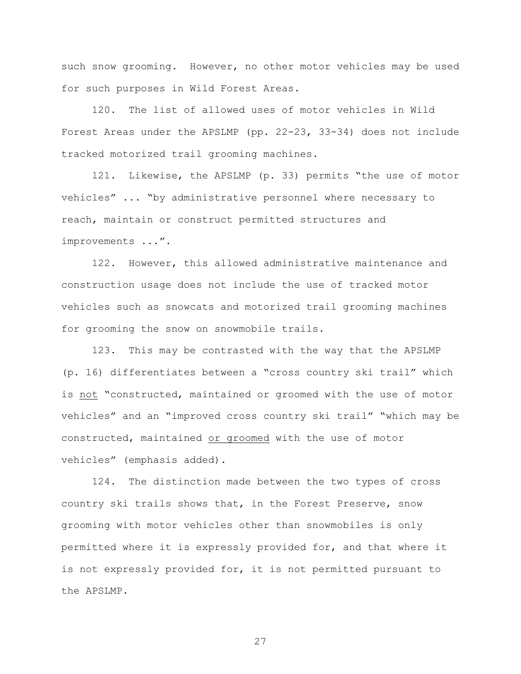such snow grooming. However, no other motor vehicles may be used for such purposes in Wild Forest Areas.

120. The list of allowed uses of motor vehicles in Wild Forest Areas under the APSLMP (pp. 22-23, 33-34) does not include tracked motorized trail grooming machines.

121. Likewise, the APSLMP (p. 33) permits "the use of motor vehicles" ... "by administrative personnel where necessary to reach, maintain or construct permitted structures and improvements ...".

122. However, this allowed administrative maintenance and construction usage does not include the use of tracked motor vehicles such as snowcats and motorized trail grooming machines for grooming the snow on snowmobile trails.

123. This may be contrasted with the way that the APSLMP (p. 16) differentiates between a "cross country ski trail" which is not "constructed, maintained or groomed with the use of motor vehicles" and an "improved cross country ski trail" "which may be constructed, maintained or groomed with the use of motor vehicles" (emphasis added).

124. The distinction made between the two types of cross country ski trails shows that, in the Forest Preserve, snow grooming with motor vehicles other than snowmobiles is only permitted where it is expressly provided for, and that where it is not expressly provided for, it is not permitted pursuant to the APSLMP.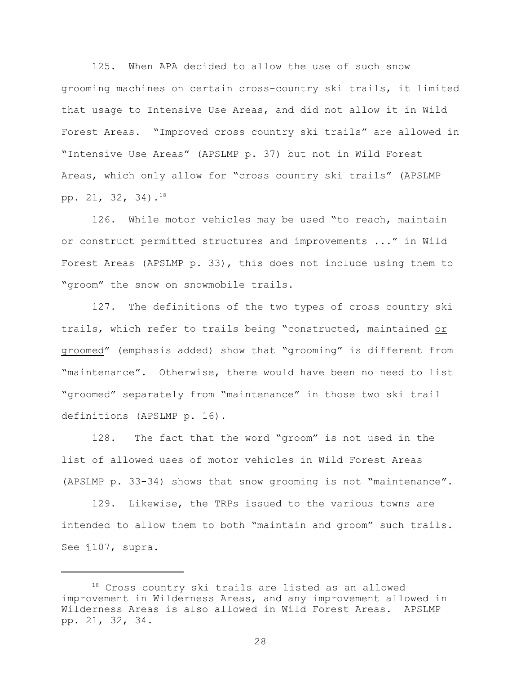125. When APA decided to allow the use of such snow grooming machines on certain cross-country ski trails, it limited that usage to Intensive Use Areas, and did not allow it in Wild Forest Areas. "Improved cross country ski trails" are allowed in "Intensive Use Areas" (APSLMP p. 37) but not in Wild Forest Areas, which only allow for "cross country ski trails" (APSLMP pp. 21, 32, 34). 18

126. While motor vehicles may be used "to reach, maintain or construct permitted structures and improvements ..." in Wild Forest Areas (APSLMP p. 33), this does not include using them to "groom" the snow on snowmobile trails.

127. The definitions of the two types of cross country ski trails, which refer to trails being "constructed, maintained or groomed" (emphasis added) show that "grooming" is different from "maintenance". Otherwise, there would have been no need to list "groomed" separately from "maintenance" in those two ski trail definitions (APSLMP p. 16).

128. The fact that the word "groom" is not used in the list of allowed uses of motor vehicles in Wild Forest Areas (APSLMP p. 33-34) shows that snow grooming is not "maintenance".

129. Likewise, the TRPs issued to the various towns are intended to allow them to both "maintain and groom" such trails. See ¶107, supra.

 $18$  Cross country ski trails are listed as an allowed improvement in Wilderness Areas, and any improvement allowed in Wilderness Areas is also allowed in Wild Forest Areas. APSLMP pp. 21, 32, 34.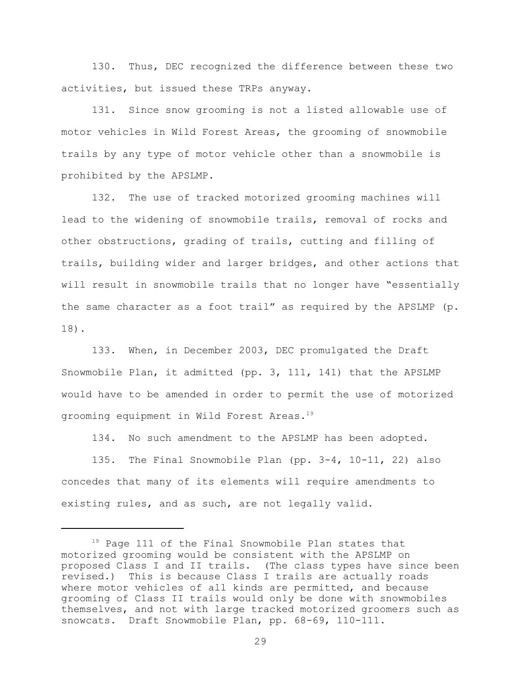130. Thus, DEC recognized the difference between these two activities, but issued these TRPs anyway.

131. Since snow grooming is not a listed allowable use of motor vehicles in Wild Forest Areas, the grooming of snowmobile trails by any type of motor vehicle other than a snowmobile is prohibited by the APSLMP.

132. The use of tracked motorized grooming machines will lead to the widening of snowmobile trails, removal of rocks and other obstructions, grading of trails, cutting and filling of trails, building wider and larger bridges, and other actions that will result in snowmobile trails that no longer have "essentially the same character as a foot trail" as required by the APSLMP (p. 18).

133. When, in December 2003, DEC promulgated the Draft Snowmobile Plan, it admitted (pp. 3, 111, 141) that the APSLMP would have to be amended in order to permit the use of motorized grooming equipment in Wild Forest Areas.<sup>19</sup>

134. No such amendment to the APSLMP has been adopted.

135. The Final Snowmobile Plan (pp. 3-4, 10-11, 22) also concedes that many of its elements will require amendments to existing rules, and as such, are not legally valid.

 $19$  Page 111 of the Final Snowmobile Plan states that motorized grooming would be consistent with the APSLMP on proposed Class I and II trails. (The class types have since been revised.) This is because Class I trails are actually roads where motor vehicles of all kinds are permitted, and because grooming of Class II trails would only be done with snowmobiles themselves, and not with large tracked motorized groomers such as snowcats. Draft Snowmobile Plan, pp. 68-69, 110-111.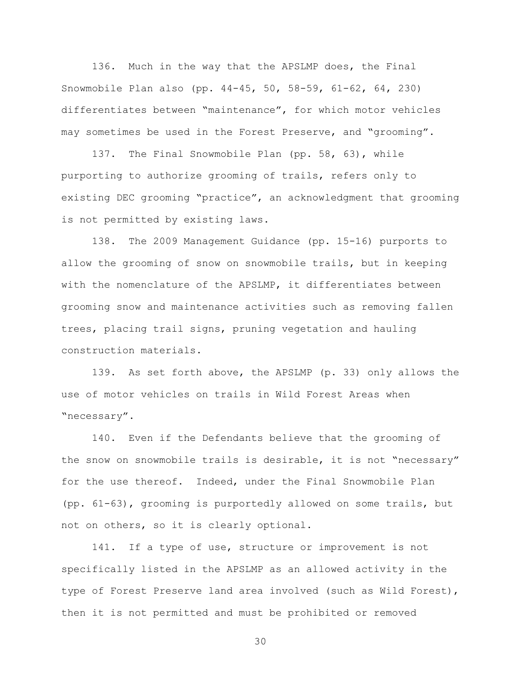136. Much in the way that the APSLMP does, the Final Snowmobile Plan also (pp. 44-45, 50, 58-59, 61-62, 64, 230) differentiates between "maintenance", for which motor vehicles may sometimes be used in the Forest Preserve, and "grooming".

137. The Final Snowmobile Plan (pp. 58, 63), while purporting to authorize grooming of trails, refers only to existing DEC grooming "practice", an acknowledgment that grooming is not permitted by existing laws.

138. The 2009 Management Guidance (pp. 15-16) purports to allow the grooming of snow on snowmobile trails, but in keeping with the nomenclature of the APSLMP, it differentiates between grooming snow and maintenance activities such as removing fallen trees, placing trail signs, pruning vegetation and hauling construction materials.

139. As set forth above, the APSLMP (p. 33) only allows the use of motor vehicles on trails in Wild Forest Areas when "necessary".

140. Even if the Defendants believe that the grooming of the snow on snowmobile trails is desirable, it is not "necessary" for the use thereof. Indeed, under the Final Snowmobile Plan (pp. 61-63), grooming is purportedly allowed on some trails, but not on others, so it is clearly optional.

141. If a type of use, structure or improvement is not specifically listed in the APSLMP as an allowed activity in the type of Forest Preserve land area involved (such as Wild Forest), then it is not permitted and must be prohibited or removed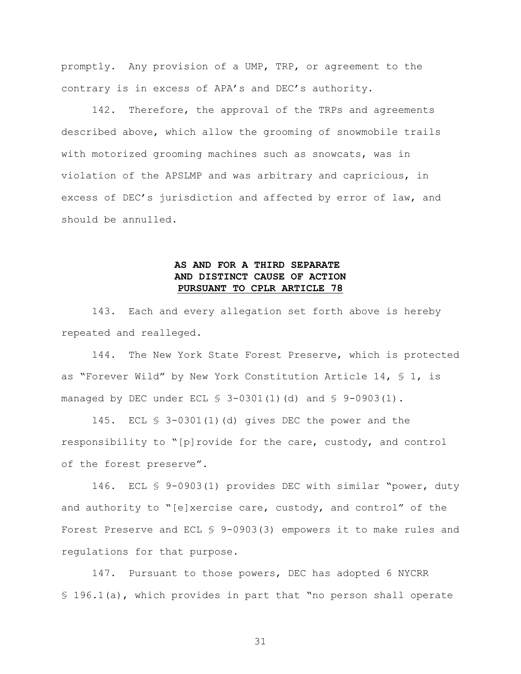promptly. Any provision of a UMP, TRP, or agreement to the contrary is in excess of APA's and DEC's authority.

142. Therefore, the approval of the TRPs and agreements described above, which allow the grooming of snowmobile trails with motorized grooming machines such as snowcats, was in violation of the APSLMP and was arbitrary and capricious, in excess of DEC's jurisdiction and affected by error of law, and should be annulled.

# **AS AND FOR A THIRD SEPARATE AND DISTINCT CAUSE OF ACTION PURSUANT TO CPLR ARTICLE 78**

143. Each and every allegation set forth above is hereby repeated and realleged.

144. The New York State Forest Preserve, which is protected as "Forever Wild" by New York Constitution Article 14, § 1, is managed by DEC under ECL  $$3-0301(1)(d)$  and  $$9-0903(1)$ .

145. ECL § 3-0301(1)(d) gives DEC the power and the responsibility to "[p]rovide for the care, custody, and control of the forest preserve".

146. ECL § 9-0903(1) provides DEC with similar "power, duty and authority to "[e]xercise care, custody, and control" of the Forest Preserve and ECL § 9-0903(3) empowers it to make rules and regulations for that purpose.

147. Pursuant to those powers, DEC has adopted 6 NYCRR § 196.1(a), which provides in part that "no person shall operate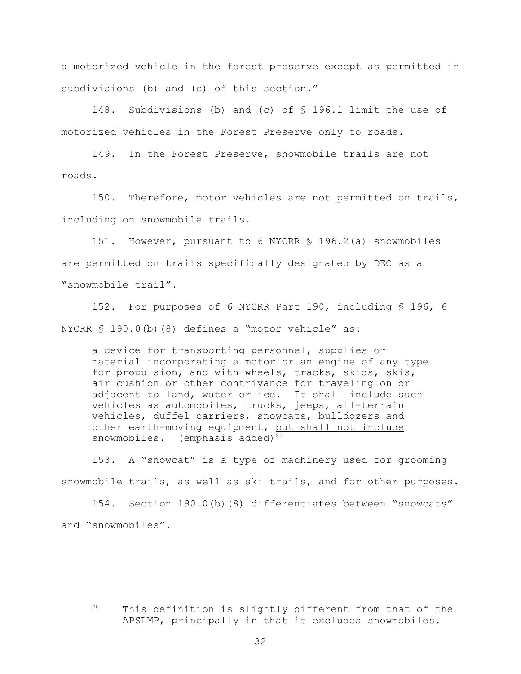a motorized vehicle in the forest preserve except as permitted in subdivisions (b) and (c) of this section."

148. Subdivisions (b) and (c) of § 196.1 limit the use of motorized vehicles in the Forest Preserve only to roads.

149. In the Forest Preserve, snowmobile trails are not roads.

150. Therefore, motor vehicles are not permitted on trails, including on snowmobile trails.

151. However, pursuant to 6 NYCRR § 196.2(a) snowmobiles are permitted on trails specifically designated by DEC as a "snowmobile trail".

152. For purposes of 6 NYCRR Part 190, including § 196, 6 NYCRR § 190.0(b)(8) defines a "motor vehicle" as:

a device for transporting personnel, supplies or material incorporating a motor or an engine of any type for propulsion, and with wheels, tracks, skids, skis, air cushion or other contrivance for traveling on or adjacent to land, water or ice. It shall include such vehicles as automobiles, trucks, jeeps, all-terrain vehicles, duffel carriers, snowcats, bulldozers and other earth-moving equipment, but shall not include snowmobiles. (emphasis added)<sup>20</sup>

153. A "snowcat" is a type of machinery used for grooming snowmobile trails, as well as ski trails, and for other purposes.

154. Section 190.0(b)(8) differentiates between "snowcats" and "snowmobiles".

 $20$  This definition is slightly different from that of the APSLMP, principally in that it excludes snowmobiles.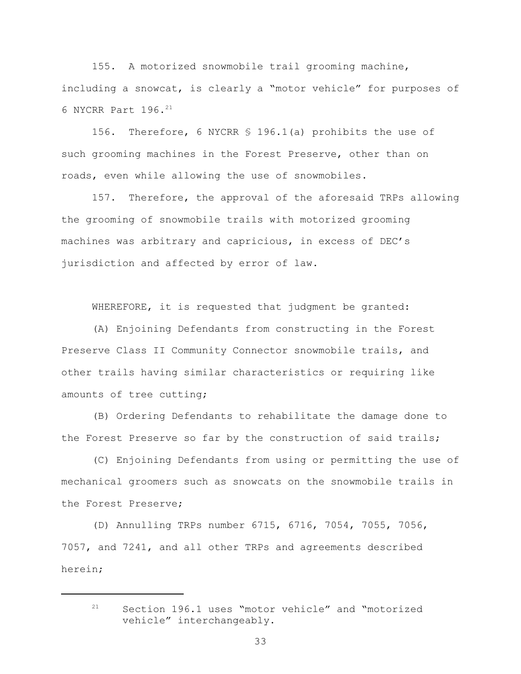155. A motorized snowmobile trail grooming machine, including a snowcat, is clearly a "motor vehicle" for purposes of 6 NYCRR Part 196.<sup>21</sup>

156. Therefore, 6 NYCRR § 196.1(a) prohibits the use of such grooming machines in the Forest Preserve, other than on roads, even while allowing the use of snowmobiles.

157. Therefore, the approval of the aforesaid TRPs allowing the grooming of snowmobile trails with motorized grooming machines was arbitrary and capricious, in excess of DEC's jurisdiction and affected by error of law.

WHEREFORE, it is requested that judgment be granted:

(A) Enjoining Defendants from constructing in the Forest Preserve Class II Community Connector snowmobile trails, and other trails having similar characteristics or requiring like amounts of tree cutting;

(B) Ordering Defendants to rehabilitate the damage done to the Forest Preserve so far by the construction of said trails;

(C) Enjoining Defendants from using or permitting the use of mechanical groomers such as snowcats on the snowmobile trails in the Forest Preserve;

(D) Annulling TRPs number 6715, 6716, 7054, 7055, 7056, 7057, and 7241, and all other TRPs and agreements described herein;

 $21$  Section 196.1 uses "motor vehicle" and "motorized vehicle" interchangeably.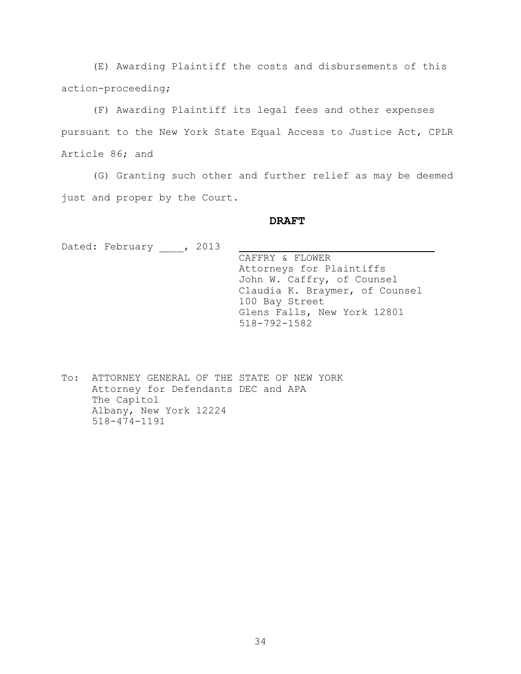(E) Awarding Plaintiff the costs and disbursements of this action-proceeding;

(F) Awarding Plaintiff its legal fees and other expenses pursuant to the New York State Equal Access to Justice Act, CPLR Article 86; and

(G) Granting such other and further relief as may be deemed just and proper by the Court.

### **DRAFT**

Dated: February , 2013

 CAFFRY & FLOWER Attorneys for Plaintiffs John W. Caffry, of Counsel Claudia K. Braymer, of Counsel 100 Bay Street Glens Falls, New York 12801 518-792-1582

To: ATTORNEY GENERAL OF THE STATE OF NEW YORK Attorney for Defendants DEC and APA The Capitol Albany, New York 12224 518-474-1191